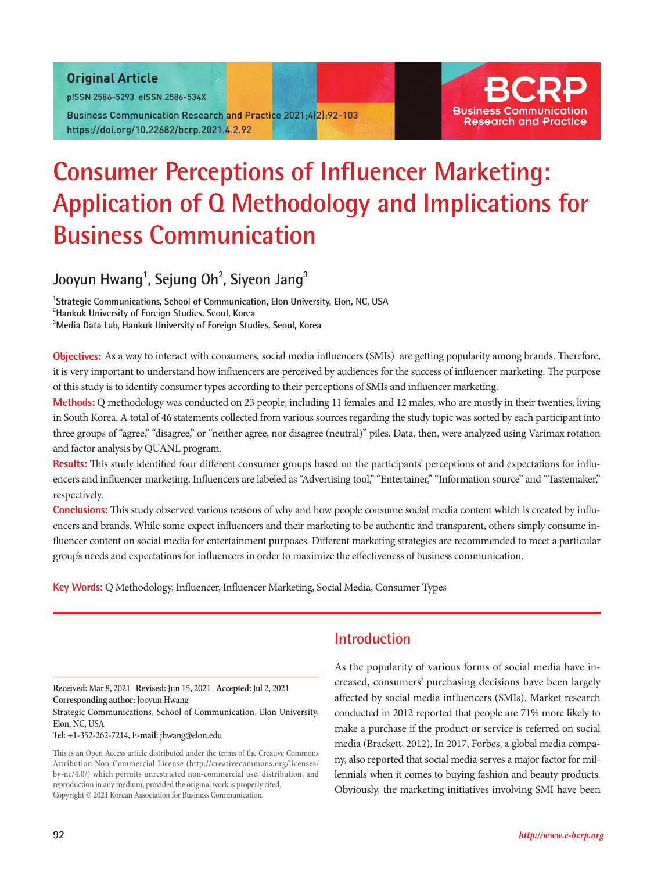### Original Article

pISSN 2586-5293 eISSN 2586-534X

Business Communication Research and Practice 2021;4(2):92-103 https://doi.org/10.22682/bcrp.2021.4.2.92



# **Consumer Perceptions of Influencer Marketing: Application of Q Methodology and Implications for Business Communication**

# Jooyun Hwang<sup>1</sup>, Sejung Oh<sup>2</sup>, Siyeon Jang<sup>3</sup>

**1 Strategic Communications, School of Communication, Elon University, Elon, NC, USA 2 Hankuk University of Foreign Studies, Seoul, Korea 3 Media Data Lab, Hankuk University of Foreign Studies, Seoul, Korea**

**Objectives:** As a way to interact with consumers, social media influencers (SMIs) are getting popularity among brands. Therefore, it is very important to understand how influencers are perceived by audiences for the success of influencer marketing. The purpose of this study is to identify consumer types according to their perceptions of SMIs and influencer marketing.

**Methods:** Q methodology was conducted on 23 people, including 11 females and 12 males, who are mostly in their twenties, living in South Korea. A total of 46 statements collected from various sources regarding the study topic was sorted by each participant into three groups of "agree," "disagree," or "neither agree, nor disagree (neutral)" piles. Data, then, were analyzed using Varimax rotation and factor analysis by QUANL program.

**Results:** This study identified four different consumer groups based on the participants' perceptions of and expectations for influencers and influencer marketing. Influencers are labeled as "Advertising tool," "Entertainer," "Information source" and "Tastemaker," respectively.

**Conclusions:** This study observed various reasons of why and how people consume social media content which is created by influencers and brands. While some expect influencers and their marketing to be authentic and transparent, others simply consume influencer content on social media for entertainment purposes. Different marketing strategies are recommended to meet a particular group's needs and expectations for influencers in order to maximize the effectiveness of business communication.

**Key Words:** Q Methodology, Influencer, Influencer Marketing, Social Media, Consumer Types

**Received:** Mar 8, 2021 **Revised:** Jun 15, 2021 **Accepted:** Jul 2, 2021 **Corresponding author:** Jooyun Hwang

Strategic Communications, School of Communication, Elon University, Elon, NC, USA

**Tel:** +1-352-262-7214, **E-mail:** jhwang@elon.edu

This is an Open Access article distributed under the terms of the Creative Commons Attribution Non-Commercial License (http://creativecommons.org/licenses/ by-nc/4.0/) which permits unrestricted non-commercial use, distribution, and reproduction in any medium, provided the original work is properly cited. Copyright © 2021 Korean Association for Business Communication.

# **Introduction**

As the popularity of various forms of social media have increased, consumers' purchasing decisions have been largely affected by social media influencers (SMIs). Market research conducted in 2012 reported that people are 71% more likely to make a purchase if the product or service is referred on social media (Brackett, 2012). In 2017, Forbes, a global media company, also reported that social media serves a major factor for millennials when it comes to buying fashion and beauty products. Obviously, the marketing initiatives involving SMI have been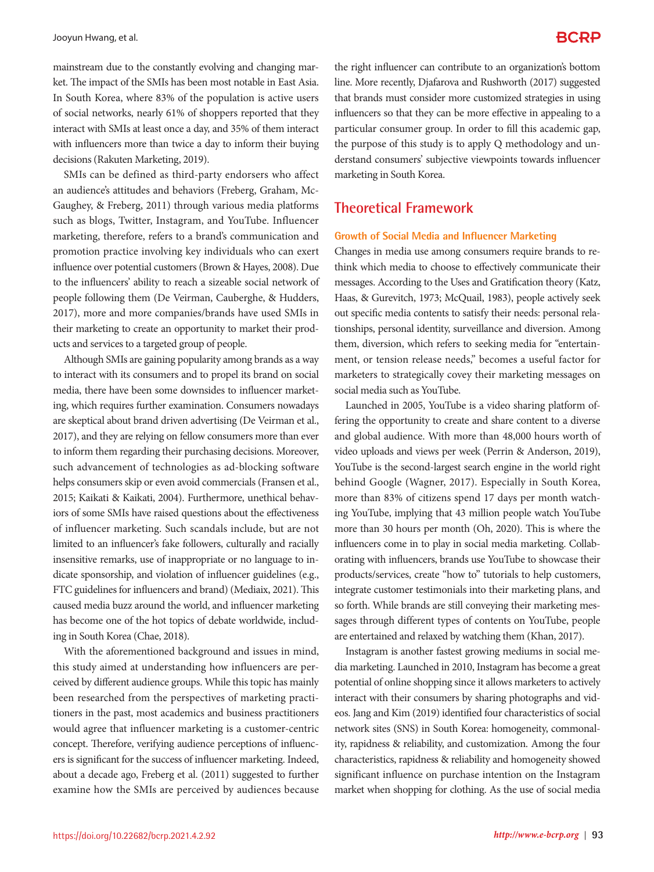mainstream due to the constantly evolving and changing market. The impact of the SMIs has been most notable in East Asia. In South Korea, where 83% of the population is active users of social networks, nearly 61% of shoppers reported that they interact with SMIs at least once a day, and 35% of them interact with influencers more than twice a day to inform their buying decisions (Rakuten Marketing, 2019).

SMIs can be defined as third-party endorsers who affect an audience's attitudes and behaviors (Freberg, Graham, Mc-Gaughey, & Freberg, 2011) through various media platforms such as blogs, Twitter, Instagram, and YouTube. Influencer marketing, therefore, refers to a brand's communication and promotion practice involving key individuals who can exert influence over potential customers (Brown & Hayes, 2008). Due to the influencers' ability to reach a sizeable social network of people following them (De Veirman, Cauberghe, & Hudders, 2017), more and more companies/brands have used SMIs in their marketing to create an opportunity to market their products and services to a targeted group of people.

Although SMIs are gaining popularity among brands as a way to interact with its consumers and to propel its brand on social media, there have been some downsides to influencer marketing, which requires further examination. Consumers nowadays are skeptical about brand driven advertising (De Veirman et al., 2017), and they are relying on fellow consumers more than ever to inform them regarding their purchasing decisions. Moreover, such advancement of technologies as ad-blocking software helps consumers skip or even avoid commercials (Fransen et al., 2015; Kaikati & Kaikati, 2004). Furthermore, unethical behaviors of some SMIs have raised questions about the effectiveness of influencer marketing. Such scandals include, but are not limited to an influencer's fake followers, culturally and racially insensitive remarks, use of inappropriate or no language to indicate sponsorship, and violation of influencer guidelines (e.g., FTC guidelines for influencers and brand) (Mediaix, 2021). This caused media buzz around the world, and influencer marketing has become one of the hot topics of debate worldwide, including in South Korea (Chae, 2018).

With the aforementioned background and issues in mind, this study aimed at understanding how influencers are perceived by different audience groups. While this topic has mainly been researched from the perspectives of marketing practitioners in the past, most academics and business practitioners would agree that influencer marketing is a customer-centric concept. Therefore, verifying audience perceptions of influencers is significant for the success of influencer marketing. Indeed, about a decade ago, Freberg et al. (2011) suggested to further examine how the SMIs are perceived by audiences because

the right influencer can contribute to an organization's bottom line. More recently, Djafarova and Rushworth (2017) suggested that brands must consider more customized strategies in using influencers so that they can be more effective in appealing to a particular consumer group. In order to fill this academic gap, the purpose of this study is to apply Q methodology and understand consumers' subjective viewpoints towards influencer marketing in South Korea.

# **Theoretical Framework**

### **Growth of Social Media and Influencer Marketing**

Changes in media use among consumers require brands to rethink which media to choose to effectively communicate their messages. According to the Uses and Gratification theory (Katz, Haas, & Gurevitch, 1973; McQuail, 1983), people actively seek out specific media contents to satisfy their needs: personal relationships, personal identity, surveillance and diversion. Among them, diversion, which refers to seeking media for "entertainment, or tension release needs," becomes a useful factor for marketers to strategically covey their marketing messages on social media such as YouTube.

Launched in 2005, YouTube is a video sharing platform offering the opportunity to create and share content to a diverse and global audience. With more than 48,000 hours worth of video uploads and views per week (Perrin & Anderson, 2019), YouTube is the second-largest search engine in the world right behind Google (Wagner, 2017). Especially in South Korea, more than 83% of citizens spend 17 days per month watching YouTube, implying that 43 million people watch YouTube more than 30 hours per month (Oh, 2020). This is where the influencers come in to play in social media marketing. Collaborating with influencers, brands use YouTube to showcase their products/services, create "how to" tutorials to help customers, integrate customer testimonials into their marketing plans, and so forth. While brands are still conveying their marketing messages through different types of contents on YouTube, people are entertained and relaxed by watching them (Khan, 2017).

Instagram is another fastest growing mediums in social media marketing. Launched in 2010, Instagram has become a great potential of online shopping since it allows marketers to actively interact with their consumers by sharing photographs and videos. Jang and Kim (2019) identified four characteristics of social network sites (SNS) in South Korea: homogeneity, commonality, rapidness & reliability, and customization. Among the four characteristics, rapidness & reliability and homogeneity showed significant influence on purchase intention on the Instagram market when shopping for clothing. As the use of social media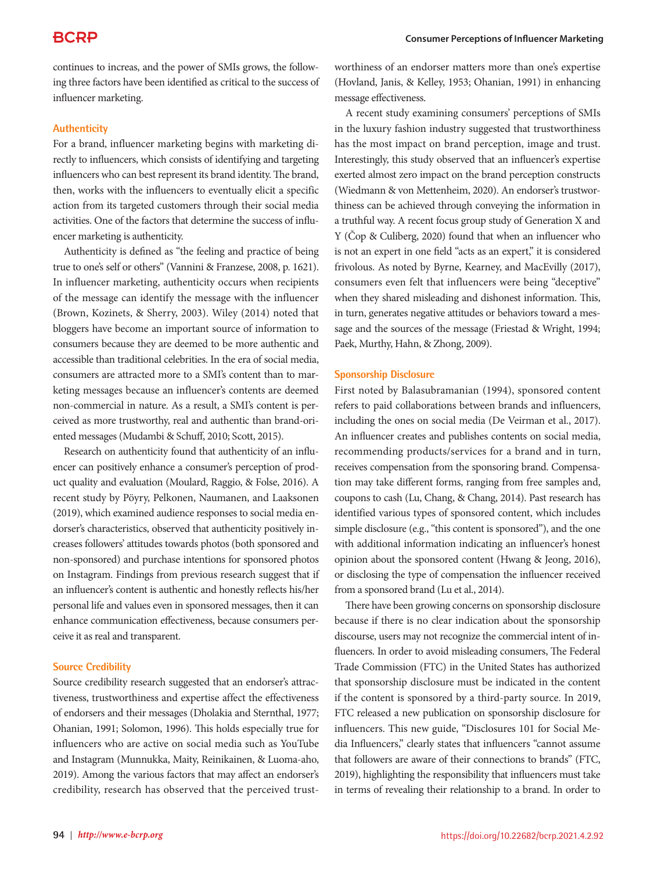continues to increas, and the power of SMIs grows, the following three factors have been identified as critical to the success of influencer marketing.

### **Authenticity**

For a brand, influencer marketing begins with marketing directly to influencers, which consists of identifying and targeting influencers who can best represent its brand identity. The brand, then, works with the influencers to eventually elicit a specific action from its targeted customers through their social media activities. One of the factors that determine the success of influencer marketing is authenticity.

Authenticity is defined as "the feeling and practice of being true to one's self or others" (Vannini & Franzese, 2008, p. 1621). In influencer marketing, authenticity occurs when recipients of the message can identify the message with the influencer (Brown, Kozinets, & Sherry, 2003). Wiley (2014) noted that bloggers have become an important source of information to consumers because they are deemed to be more authentic and accessible than traditional celebrities. In the era of social media, consumers are attracted more to a SMI's content than to marketing messages because an influencer's contents are deemed non-commercial in nature. As a result, a SMI's content is perceived as more trustworthy, real and authentic than brand-oriented messages (Mudambi & Schuff, 2010; Scott, 2015).

Research on authenticity found that authenticity of an influencer can positively enhance a consumer's perception of product quality and evaluation (Moulard, Raggio, & Folse, 2016). A recent study by Pöyry, Pelkonen, Naumanen, and Laaksonen (2019), which examined audience responses to social media endorser's characteristics, observed that authenticity positively increases followers' attitudes towards photos (both sponsored and non-sponsored) and purchase intentions for sponsored photos on Instagram. Findings from previous research suggest that if an influencer's content is authentic and honestly reflects his/her personal life and values even in sponsored messages, then it can enhance communication effectiveness, because consumers perceive it as real and transparent.

### **Source Credibility**

Source credibility research suggested that an endorser's attractiveness, trustworthiness and expertise affect the effectiveness of endorsers and their messages (Dholakia and Sternthal, 1977; Ohanian, 1991; Solomon, 1996). This holds especially true for influencers who are active on social media such as YouTube and Instagram (Munnukka, Maity, Reinikainen, & Luoma-aho, 2019). Among the various factors that may affect an endorser's credibility, research has observed that the perceived trustworthiness of an endorser matters more than one's expertise (Hovland, Janis, & Kelley, 1953; Ohanian, 1991) in enhancing message effectiveness.

A recent study examining consumers' perceptions of SMIs in the luxury fashion industry suggested that trustworthiness has the most impact on brand perception, image and trust. Interestingly, this study observed that an influencer's expertise exerted almost zero impact on the brand perception constructs (Wiedmann & von Mettenheim, 2020). An endorser's trustworthiness can be achieved through conveying the information in a truthful way. A recent focus group study of Generation X and Y (Čop & Culiberg, 2020) found that when an influencer who is not an expert in one field "acts as an expert," it is considered frivolous. As noted by Byrne, Kearney, and MacEvilly (2017), consumers even felt that influencers were being "deceptive" when they shared misleading and dishonest information. This, in turn, generates negative attitudes or behaviors toward a message and the sources of the message (Friestad & Wright, 1994; Paek, Murthy, Hahn, & Zhong, 2009).

#### **Sponsorship Disclosure**

First noted by Balasubramanian (1994), sponsored content refers to paid collaborations between brands and influencers, including the ones on social media (De Veirman et al., 2017). An influencer creates and publishes contents on social media, recommending products/services for a brand and in turn, receives compensation from the sponsoring brand. Compensation may take different forms, ranging from free samples and, coupons to cash (Lu, Chang, & Chang, 2014). Past research has identified various types of sponsored content, which includes simple disclosure (e.g., "this content is sponsored"), and the one with additional information indicating an influencer's honest opinion about the sponsored content (Hwang & Jeong, 2016), or disclosing the type of compensation the influencer received from a sponsored brand (Lu et al., 2014).

There have been growing concerns on sponsorship disclosure because if there is no clear indication about the sponsorship discourse, users may not recognize the commercial intent of influencers. In order to avoid misleading consumers, The Federal Trade Commission (FTC) in the United States has authorized that sponsorship disclosure must be indicated in the content if the content is sponsored by a third-party source. In 2019, FTC released a new publication on sponsorship disclosure for influencers. This new guide, "Disclosures 101 for Social Media Influencers," clearly states that influencers "cannot assume that followers are aware of their connections to brands" (FTC, 2019), highlighting the responsibility that influencers must take in terms of revealing their relationship to a brand. In order to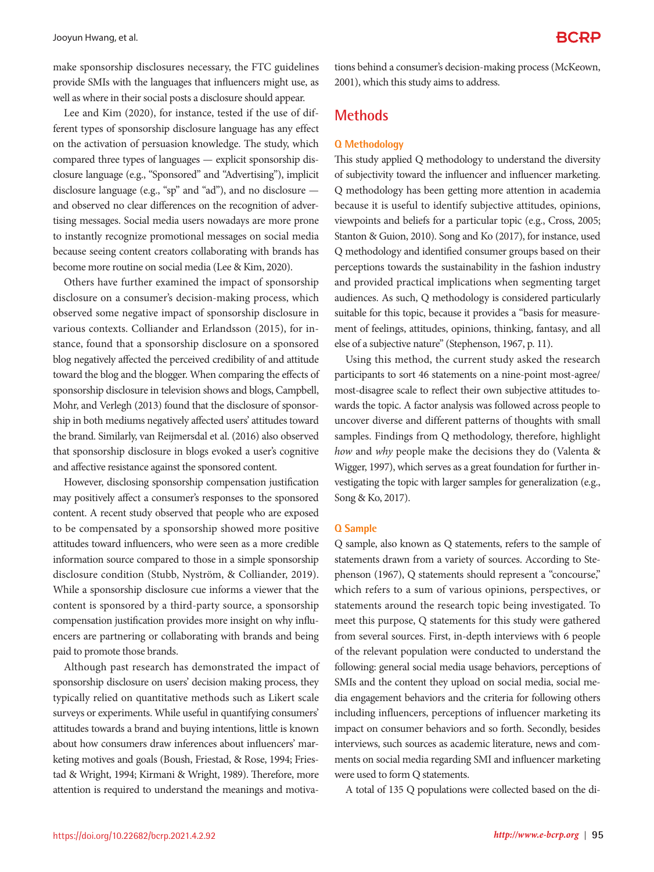make sponsorship disclosures necessary, the FTC guidelines provide SMIs with the languages that influencers might use, as well as where in their social posts a disclosure should appear.

Lee and Kim (2020), for instance, tested if the use of different types of sponsorship disclosure language has any effect on the activation of persuasion knowledge. The study, which compared three types of languages — explicit sponsorship disclosure language (e.g., "Sponsored" and "Advertising"), implicit disclosure language (e.g., "sp" and "ad"), and no disclosure and observed no clear differences on the recognition of advertising messages. Social media users nowadays are more prone to instantly recognize promotional messages on social media because seeing content creators collaborating with brands has become more routine on social media (Lee & Kim, 2020).

Others have further examined the impact of sponsorship disclosure on a consumer's decision-making process, which observed some negative impact of sponsorship disclosure in various contexts. Colliander and Erlandsson (2015), for instance, found that a sponsorship disclosure on a sponsored blog negatively affected the perceived credibility of and attitude toward the blog and the blogger. When comparing the effects of sponsorship disclosure in television shows and blogs, Campbell, Mohr, and Verlegh (2013) found that the disclosure of sponsorship in both mediums negatively affected users' attitudes toward the brand. Similarly, van Reijmersdal et al. (2016) also observed that sponsorship disclosure in blogs evoked a user's cognitive and affective resistance against the sponsored content.

However, disclosing sponsorship compensation justification may positively affect a consumer's responses to the sponsored content. A recent study observed that people who are exposed to be compensated by a sponsorship showed more positive attitudes toward influencers, who were seen as a more credible information source compared to those in a simple sponsorship disclosure condition (Stubb, Nyström, & Colliander, 2019). While a sponsorship disclosure cue informs a viewer that the content is sponsored by a third-party source, a sponsorship compensation justification provides more insight on why influencers are partnering or collaborating with brands and being paid to promote those brands.

Although past research has demonstrated the impact of sponsorship disclosure on users' decision making process, they typically relied on quantitative methods such as Likert scale surveys or experiments. While useful in quantifying consumers' attitudes towards a brand and buying intentions, little is known about how consumers draw inferences about influencers' marketing motives and goals (Boush, Friestad, & Rose, 1994; Friestad & Wright, 1994; Kirmani & Wright, 1989). Therefore, more attention is required to understand the meanings and motivations behind a consumer's decision-making process (McKeown, 2001), which this study aims to address.

### **Methods**

#### **Q Methodology**

This study applied Q methodology to understand the diversity of subjectivity toward the influencer and influencer marketing. Q methodology has been getting more attention in academia because it is useful to identify subjective attitudes, opinions, viewpoints and beliefs for a particular topic (e.g., Cross, 2005; Stanton & Guion, 2010). Song and Ko (2017), for instance, used Q methodology and identified consumer groups based on their perceptions towards the sustainability in the fashion industry and provided practical implications when segmenting target audiences. As such, Q methodology is considered particularly suitable for this topic, because it provides a "basis for measurement of feelings, attitudes, opinions, thinking, fantasy, and all else of a subjective nature" (Stephenson, 1967, p. 11).

Using this method, the current study asked the research participants to sort 46 statements on a nine-point most-agree/ most-disagree scale to reflect their own subjective attitudes towards the topic. A factor analysis was followed across people to uncover diverse and different patterns of thoughts with small samples. Findings from Q methodology, therefore, highlight *how* and *why* people make the decisions they do (Valenta & Wigger, 1997), which serves as a great foundation for further investigating the topic with larger samples for generalization (e.g., Song & Ko, 2017).

#### **Q Sample**

Q sample, also known as Q statements, refers to the sample of statements drawn from a variety of sources. According to Stephenson (1967), Q statements should represent a "concourse," which refers to a sum of various opinions, perspectives, or statements around the research topic being investigated. To meet this purpose, Q statements for this study were gathered from several sources. First, in-depth interviews with 6 people of the relevant population were conducted to understand the following: general social media usage behaviors, perceptions of SMIs and the content they upload on social media, social media engagement behaviors and the criteria for following others including influencers, perceptions of influencer marketing its impact on consumer behaviors and so forth. Secondly, besides interviews, such sources as academic literature, news and comments on social media regarding SMI and influencer marketing were used to form Q statements.

A total of 135 Q populations were collected based on the di-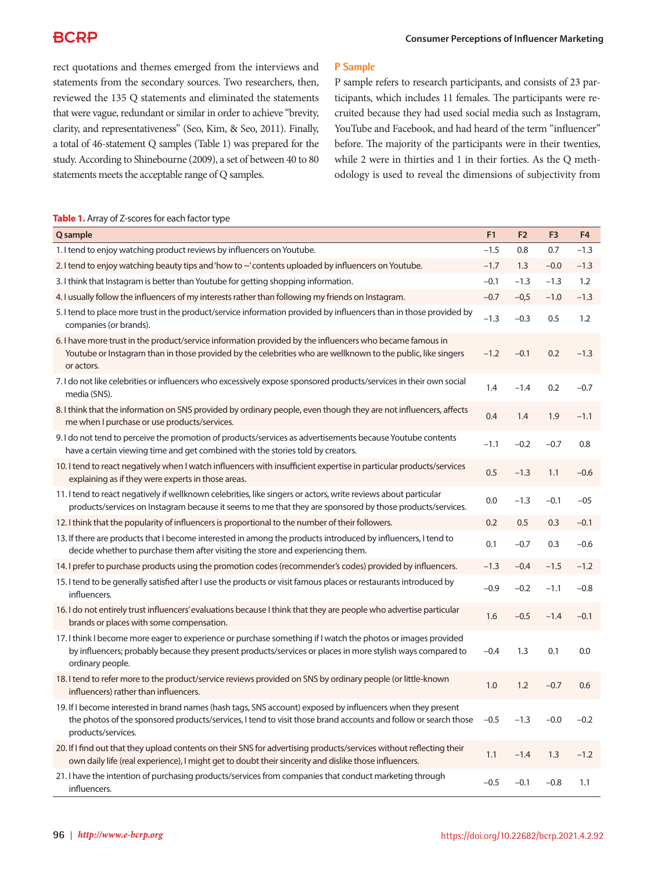rect quotations and themes emerged from the interviews and statements from the secondary sources. Two researchers, then, reviewed the 135 Q statements and eliminated the statements that were vague, redundant or similar in order to achieve "brevity, clarity, and representativeness" (Seo, Kim, & Seo, 2011). Finally, a total of 46-statement Q samples (Table 1) was prepared for the study. According to Shinebourne (2009), a set of between 40 to 80 statements meets the acceptable range of Q samples.

### **P Sample**

P sample refers to research participants, and consists of 23 participants, which includes 11 females. The participants were recruited because they had used social media such as Instagram, YouTube and Facebook, and had heard of the term "influencer" before. The majority of the participants were in their twenties, while 2 were in thirties and 1 in their forties. As the Q methodology is used to reveal the dimensions of subjectivity from

### **Table 1.** Array of Z-scores for each factor type

| Q sample                                                                                                                                                                                                                                            | F <sub>1</sub> | F <sub>2</sub> | F <sub>3</sub> | F <sub>4</sub> |
|-----------------------------------------------------------------------------------------------------------------------------------------------------------------------------------------------------------------------------------------------------|----------------|----------------|----------------|----------------|
| 1. I tend to enjoy watching product reviews by influencers on Youtube.                                                                                                                                                                              | $-1.5$         | 0.8            | 0.7            | $-1.3$         |
| 2. I tend to enjoy watching beauty tips and 'how to ~' contents uploaded by influencers on Youtube.                                                                                                                                                 | $-1.7$         | 1.3            | $-0.0$         | $-1.3$         |
| 3. I think that Instagram is better than Youtube for getting shopping information.                                                                                                                                                                  | $-0.1$         | $-1.3$         | $-1.3$         | 1.2            |
| 4. I usually follow the influencers of my interests rather than following my friends on Instagram.                                                                                                                                                  | $-0.7$         | $-0,5$         | $-1.0$         | $-1.3$         |
| 5. I tend to place more trust in the product/service information provided by influencers than in those provided by<br>companies (or brands).                                                                                                        | $-1.3$         | $-0.3$         | 0.5            | 1.2            |
| 6. I have more trust in the product/service information provided by the influencers who became famous in<br>Youtube or Instagram than in those provided by the celebrities who are wellknown to the public, like singers<br>or actors.              | $-1.2$         | $-0.1$         | 0.2            | $-1.3$         |
| 7. I do not like celebrities or influencers who excessively expose sponsored products/services in their own social<br>media (SNS).                                                                                                                  | 1.4            | $-1.4$         | 0.2            | $-0.7$         |
| 8. I think that the information on SNS provided by ordinary people, even though they are not influencers, affects<br>me when I purchase or use products/services.                                                                                   | 0.4            | 1.4            | 1.9            | $-1.1$         |
| 9. I do not tend to perceive the promotion of products/services as advertisements because Youtube contents<br>have a certain viewing time and get combined with the stories told by creators.                                                       | $-1.1$         | $-0.2$         | $-0.7$         | 0.8            |
| 10. I tend to react negatively when I watch influencers with insufficient expertise in particular products/services<br>explaining as if they were experts in those areas.                                                                           | 0.5            | $-1.3$         | 1.1            | $-0.6$         |
| 11. I tend to react negatively if wellknown celebrities, like singers or actors, write reviews about particular<br>products/services on Instagram because it seems to me that they are sponsored by those products/services.                        | 0.0            | $-1.3$         | $-0.1$         | $-05$          |
| 12. I think that the popularity of influencers is proportional to the number of their followers.                                                                                                                                                    | 0.2            | 0.5            | 0.3            | $-0.1$         |
| 13. If there are products that I become interested in among the products introduced by influencers, I tend to<br>decide whether to purchase them after visiting the store and experiencing them.                                                    | 0.1            | $-0.7$         | 0.3            | $-0.6$         |
| 14. I prefer to purchase products using the promotion codes (recommender's codes) provided by influencers.                                                                                                                                          | $-1.3$         | $-0.4$         | $-1.5$         | $-1.2$         |
| 15. I tend to be generally satisfied after I use the products or visit famous places or restaurants introduced by<br>influencers.                                                                                                                   | $-0.9$         | $-0.2$         | $-1.1$         | $-0.8$         |
| 16. I do not entirely trust influencers' evaluations because I think that they are people who advertise particular<br>brands or places with some compensation.                                                                                      | 1.6            | $-0.5$         | $-1.4$         | $-0.1$         |
| 17. I think I become more eager to experience or purchase something if I watch the photos or images provided<br>by influencers; probably because they present products/services or places in more stylish ways compared to<br>ordinary people.      | $-0.4$         | 1.3            | 0.1            | 0.0            |
| 18. I tend to refer more to the product/service reviews provided on SNS by ordinary people (or little-known<br>influencers) rather than influencers.                                                                                                | 1.0            | 1.2            | $-0.7$         | 0.6            |
| 19. If I become interested in brand names (hash tags, SNS account) exposed by influencers when they present<br>the photos of the sponsored products/services, I tend to visit those brand accounts and follow or search those<br>products/services. | $-0.5$         | $-1.3$         | $-0.0$         | $-0.2$         |
| 20. If I find out that they upload contents on their SNS for advertising products/services without reflecting their<br>own daily life (real experience), I might get to doubt their sincerity and dislike those influencers.                        | 1.1            | $-1.4$         | 1.3            | $-1.2$         |
| 21. I have the intention of purchasing products/services from companies that conduct marketing through<br>influencers.                                                                                                                              | $-0.5$         | $-0.1$         | $-0.8$         | 1.1            |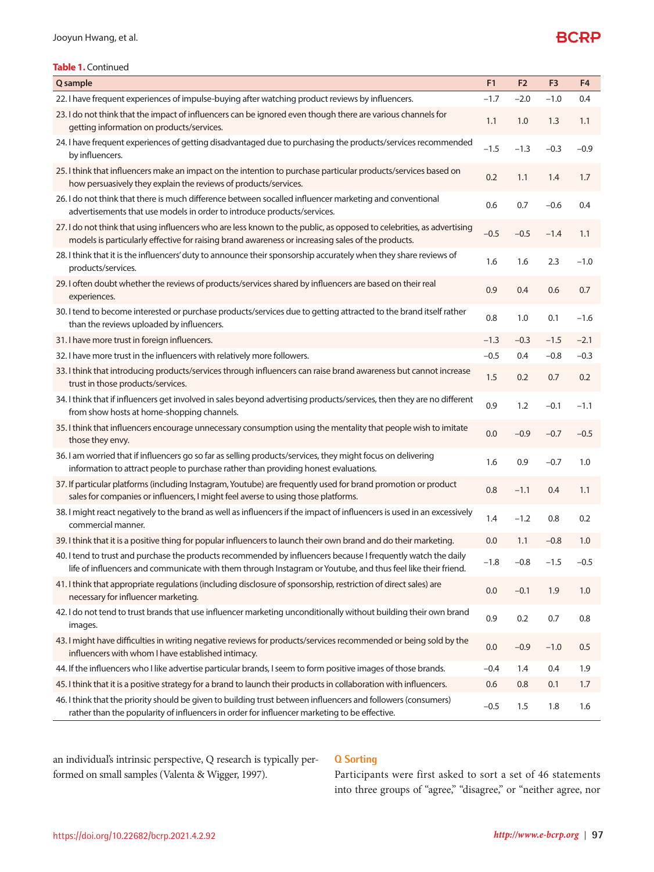### **Table 1.** Continued

| Q sample                                                                                                                                                                                                                      | F <sub>1</sub> | F <sub>2</sub> | F <sub>3</sub> | F <sub>4</sub> |
|-------------------------------------------------------------------------------------------------------------------------------------------------------------------------------------------------------------------------------|----------------|----------------|----------------|----------------|
| 22. I have frequent experiences of impulse-buying after watching product reviews by influencers.                                                                                                                              | $-1.7$         | $-2.0$         | $-1.0$         | 0.4            |
| 23. I do not think that the impact of influencers can be ignored even though there are various channels for<br>getting information on products/services.                                                                      | 1.1            | 1.0            | 1.3            | 1.1            |
| 24. I have frequent experiences of getting disadvantaged due to purchasing the products/services recommended<br>by influencers.                                                                                               | $-1.5$         | $-1.3$         | $-0.3$         | $-0.9$         |
| 25. I think that influencers make an impact on the intention to purchase particular products/services based on<br>how persuasively they explain the reviews of products/services.                                             | 0.2            | 1.1            | 1.4            | 1.7            |
| 26. I do not think that there is much difference between socalled influencer marketing and conventional<br>advertisements that use models in order to introduce products/services.                                            | 0.6            | 0.7            | $-0.6$         | 0.4            |
| 27. I do not think that using influencers who are less known to the public, as opposed to celebrities, as advertising<br>models is particularly effective for raising brand awareness or increasing sales of the products.    | $-0.5$         | $-0.5$         | $-1.4$         | 1.1            |
| 28. I think that it is the influencers' duty to announce their sponsorship accurately when they share reviews of<br>products/services.                                                                                        | 1.6            | 1.6            | 2.3            | $-1.0$         |
| 29. I often doubt whether the reviews of products/services shared by influencers are based on their real<br>experiences.                                                                                                      | 0.9            | 0.4            | 0.6            | 0.7            |
| 30. I tend to become interested or purchase products/services due to getting attracted to the brand itself rather<br>than the reviews uploaded by influencers.                                                                | 0.8            | 1.0            | 0.1            | $-1.6$         |
| 31. I have more trust in foreign influencers.                                                                                                                                                                                 | $-1.3$         | $-0.3$         | $-1.5$         | $-2.1$         |
| 32. I have more trust in the influencers with relatively more followers.                                                                                                                                                      | $-0.5$         | 0.4            | $-0.8$         | $-0.3$         |
| 33. I think that introducing products/services through influencers can raise brand awareness but cannot increase<br>trust in those products/services.                                                                         | 1.5            | 0.2            | 0.7            | 0.2            |
| 34. I think that if influencers get involved in sales beyond advertising products/services, then they are no different<br>from show hosts at home-shopping channels.                                                          | 0.9            | 1.2            | $-0.1$         | $-1.1$         |
| 35. I think that influencers encourage unnecessary consumption using the mentality that people wish to imitate<br>those they envy.                                                                                            | 0.0            | $-0.9$         | $-0.7$         | $-0.5$         |
| 36. I am worried that if influencers go so far as selling products/services, they might focus on delivering<br>information to attract people to purchase rather than providing honest evaluations.                            | 1.6            | 0.9            | $-0.7$         | 1.0            |
| 37. If particular platforms (including Instagram, Youtube) are frequently used for brand promotion or product<br>sales for companies or influencers, I might feel averse to using those platforms.                            | 0.8            | $-1.1$         | 0.4            | 1.1            |
| 38. I might react negatively to the brand as well as influencers if the impact of influencers is used in an excessively<br>commercial manner.                                                                                 | 1.4            | $-1.2$         | 0.8            | 0.2            |
| 39. I think that it is a positive thing for popular influencers to launch their own brand and do their marketing.                                                                                                             | 0.0            | 1.1            | $-0.8$         | 1.0            |
| 40. I tend to trust and purchase the products recommended by influencers because I frequently watch the daily<br>life of influencers and communicate with them through Instagram or Youtube, and thus feel like their friend. | $-1.8$         | $-0.8$         | $-1.5$         | $-0.5$         |
| 41. I think that appropriate regulations (including disclosure of sponsorship, restriction of direct sales) are<br>necessary for influencer marketing.                                                                        | 0.0            | $-0.1$         | 1.9            | 1.0            |
| 42. I do not tend to trust brands that use influencer marketing unconditionally without building their own brand<br>images.                                                                                                   | 0.9            | 0.2            | 0.7            | 0.8            |
| 43. I might have difficulties in writing negative reviews for products/services recommended or being sold by the<br>influencers with whom I have established intimacy.                                                        | 0.0            | $-0.9$         | $-1.0$         | 0.5            |
| 44. If the influencers who I like advertise particular brands, I seem to form positive images of those brands.                                                                                                                | $-0.4$         | 1.4            | 0.4            | 1.9            |
| 45. I think that it is a positive strategy for a brand to launch their products in collaboration with influencers.                                                                                                            | 0.6            | 0.8            | 0.1            | 1.7            |
| 46. I think that the priority should be given to building trust between influencers and followers (consumers)<br>rather than the popularity of influencers in order for influencer marketing to be effective.                 | $-0.5$         | 1.5            | 1.8            | 1.6            |

an individual's intrinsic perspective, Q research is typically performed on small samples (Valenta & Wigger, 1997).

### **Q Sorting**

Participants were first asked to sort a set of 46 statements into three groups of "agree," "disagree," or "neither agree, nor

**BCRP**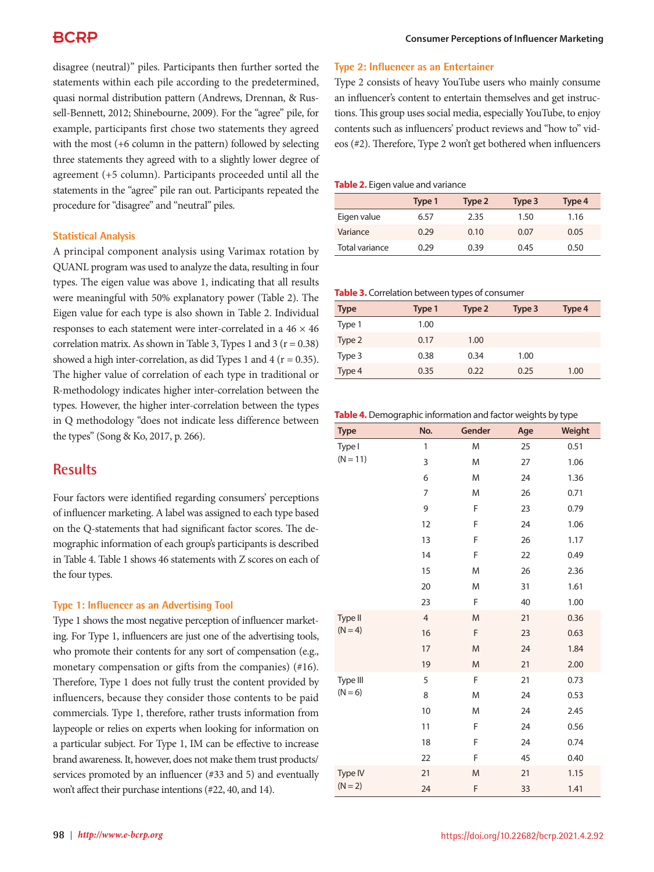disagree (neutral)" piles. Participants then further sorted the statements within each pile according to the predetermined, quasi normal distribution pattern (Andrews, Drennan, & Russell-Bennett, 2012; Shinebourne, 2009). For the "agree" pile, for example, participants first chose two statements they agreed with the most (+6 column in the pattern) followed by selecting three statements they agreed with to a slightly lower degree of agreement (+5 column). Participants proceeded until all the statements in the "agree" pile ran out. Participants repeated the procedure for "disagree" and "neutral" piles.

### **Statistical Analysis**

A principal component analysis using Varimax rotation by QUANL program was used to analyze the data, resulting in four types. The eigen value was above 1, indicating that all results were meaningful with 50% explanatory power (Table 2). The Eigen value for each type is also shown in Table 2. Individual responses to each statement were inter-correlated in a 46 × 46 correlation matrix. As shown in Table 3, Types 1 and 3 ( $r = 0.38$ ) showed a high inter-correlation, as did Types 1 and 4 ( $r = 0.35$ ). The higher value of correlation of each type in traditional or R-methodology indicates higher inter-correlation between the types. However, the higher inter-correlation between the types in Q methodology "does not indicate less difference between the types" (Song & Ko, 2017, p. 266).

# **Results**

Four factors were identified regarding consumers' perceptions of influencer marketing. A label was assigned to each type based on the Q-statements that had significant factor scores. The demographic information of each group's participants is described in Table 4. Table 1 shows 46 statements with Z scores on each of the four types.

### **Type 1: Influencer as an Advertising Tool**

Type 1 shows the most negative perception of influencer marketing. For Type 1, influencers are just one of the advertising tools, who promote their contents for any sort of compensation (e.g., monetary compensation or gifts from the companies) (#16). Therefore, Type 1 does not fully trust the content provided by influencers, because they consider those contents to be paid commercials. Type 1, therefore, rather trusts information from laypeople or relies on experts when looking for information on a particular subject. For Type 1, IM can be effective to increase brand awareness. It, however, does not make them trust products/ services promoted by an influencer (#33 and 5) and eventually won't affect their purchase intentions (#22, 40, and 14).

### **Type 2: Influencer as an Entertainer**

Type 2 consists of heavy YouTube users who mainly consume an influencer's content to entertain themselves and get instructions. This group uses social media, especially YouTube, to enjoy contents such as influencers' product reviews and "how to" videos (#2). Therefore, Type 2 won't get bothered when influencers

#### **Table 2.** Eigen value and variance

|                | Type 1 | Type 2 | Type 3 | Type 4 |
|----------------|--------|--------|--------|--------|
| Eigen value    | 6.57   | 2.35   | 1.50   | 1.16   |
| Variance       | 0.29   | 0.10   | 0.07   | 0.05   |
| Total variance | 0.29   | 0.39   | 0.45   | 0.50   |

#### **Table 3.** Correlation between types of consumer

| <b>Type</b> | Type 1 | Type 2 | Type 3 | Type 4 |
|-------------|--------|--------|--------|--------|
| Type 1      | 1.00   |        |        |        |
| Type 2      | 0.17   | 1.00   |        |        |
| Type 3      | 0.38   | 0.34   | 1.00   |        |
| Type 4      | 0.35   | 0.22   | 0.25   | 1.00   |

#### **Table 4.** Demographic information and factor weights by type

| <b>Type</b>          | No.            | Gender | Age | Weight |
|----------------------|----------------|--------|-----|--------|
| Type I               | 1              | M      | 25  | 0.51   |
| $(N = 11)$           | 3              | M      | 27  | 1.06   |
|                      | 6              | M      | 24  | 1.36   |
|                      | 7              | M      | 26  | 0.71   |
|                      | 9              | F      | 23  | 0.79   |
|                      | 12             | F      | 24  | 1.06   |
|                      | 13             | F      | 26  | 1.17   |
|                      | 14             | F      | 22  | 0.49   |
|                      | 15             | M      | 26  | 2.36   |
|                      | 20             | M      | 31  | 1.61   |
|                      | 23             | F      | 40  | 1.00   |
| Type II<br>$(N = 4)$ | $\overline{4}$ | M      | 21  | 0.36   |
|                      | 16             | F      | 23  | 0.63   |
|                      | 17             | M      | 24  | 1.84   |
|                      | 19             | M      | 21  | 2.00   |
| Type III             | 5              | F      | 21  | 0.73   |
| $(N = 6)$            | 8              | M      | 24  | 0.53   |
|                      | 10             | M      | 24  | 2.45   |
|                      | 11             | F      | 24  | 0.56   |
|                      | 18             | F      | 24  | 0.74   |
|                      | 22             | F      | 45  | 0.40   |
| Type IV              | 21             | M      | 21  | 1.15   |
| $(N = 2)$            | 24             | F      | 33  | 1.41   |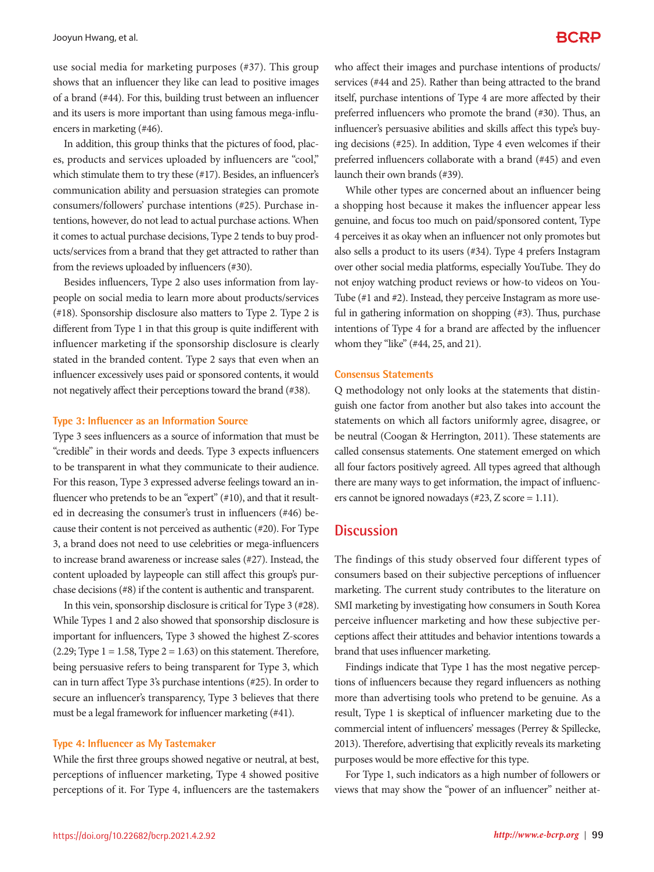use social media for marketing purposes (#37). This group shows that an influencer they like can lead to positive images of a brand (#44). For this, building trust between an influencer and its users is more important than using famous mega-influencers in marketing (#46).

In addition, this group thinks that the pictures of food, places, products and services uploaded by influencers are "cool," which stimulate them to try these (#17). Besides, an influencer's communication ability and persuasion strategies can promote consumers/followers' purchase intentions (#25). Purchase intentions, however, do not lead to actual purchase actions. When it comes to actual purchase decisions, Type 2 tends to buy products/services from a brand that they get attracted to rather than from the reviews uploaded by influencers (#30).

Besides influencers, Type 2 also uses information from laypeople on social media to learn more about products/services (#18). Sponsorship disclosure also matters to Type 2. Type 2 is different from Type 1 in that this group is quite indifferent with influencer marketing if the sponsorship disclosure is clearly stated in the branded content. Type 2 says that even when an influencer excessively uses paid or sponsored contents, it would not negatively affect their perceptions toward the brand (#38).

#### **Type 3: Influencer as an Information Source**

Type 3 sees influencers as a source of information that must be "credible" in their words and deeds. Type 3 expects influencers to be transparent in what they communicate to their audience. For this reason, Type 3 expressed adverse feelings toward an influencer who pretends to be an "expert" (#10), and that it resulted in decreasing the consumer's trust in influencers (#46) because their content is not perceived as authentic (#20). For Type 3, a brand does not need to use celebrities or mega-influencers to increase brand awareness or increase sales (#27). Instead, the content uploaded by laypeople can still affect this group's purchase decisions (#8) if the content is authentic and transparent.

In this vein, sponsorship disclosure is critical for Type 3 (#28). While Types 1 and 2 also showed that sponsorship disclosure is important for influencers, Type 3 showed the highest Z-scores  $(2.29; Type 1 = 1.58, Type 2 = 1.63)$  on this statement. Therefore, being persuasive refers to being transparent for Type 3, which can in turn affect Type 3's purchase intentions (#25). In order to secure an influencer's transparency, Type 3 believes that there must be a legal framework for influencer marketing (#41).

#### **Type 4: Influencer as My Tastemaker**

While the first three groups showed negative or neutral, at best, perceptions of influencer marketing, Type 4 showed positive perceptions of it. For Type 4, influencers are the tastemakers who affect their images and purchase intentions of products/ services (#44 and 25). Rather than being attracted to the brand itself, purchase intentions of Type 4 are more affected by their preferred influencers who promote the brand (#30). Thus, an influencer's persuasive abilities and skills affect this type's buying decisions (#25). In addition, Type 4 even welcomes if their preferred influencers collaborate with a brand (#45) and even launch their own brands (#39).

While other types are concerned about an influencer being a shopping host because it makes the influencer appear less genuine, and focus too much on paid/sponsored content, Type 4 perceives it as okay when an influencer not only promotes but also sells a product to its users (#34). Type 4 prefers Instagram over other social media platforms, especially YouTube. They do not enjoy watching product reviews or how-to videos on You-Tube (#1 and #2). Instead, they perceive Instagram as more useful in gathering information on shopping (#3). Thus, purchase intentions of Type 4 for a brand are affected by the influencer whom they "like" (#44, 25, and 21).

#### **Consensus Statements**

Q methodology not only looks at the statements that distinguish one factor from another but also takes into account the statements on which all factors uniformly agree, disagree, or be neutral (Coogan & Herrington, 2011). These statements are called consensus statements. One statement emerged on which all four factors positively agreed. All types agreed that although there are many ways to get information, the impact of influencers cannot be ignored nowadays (#23, Z score = 1.11).

### **Discussion**

The findings of this study observed four different types of consumers based on their subjective perceptions of influencer marketing. The current study contributes to the literature on SMI marketing by investigating how consumers in South Korea perceive influencer marketing and how these subjective perceptions affect their attitudes and behavior intentions towards a brand that uses influencer marketing.

Findings indicate that Type 1 has the most negative perceptions of influencers because they regard influencers as nothing more than advertising tools who pretend to be genuine. As a result, Type 1 is skeptical of influencer marketing due to the commercial intent of influencers' messages (Perrey & Spillecke, 2013). Therefore, advertising that explicitly reveals its marketing purposes would be more effective for this type.

For Type 1, such indicators as a high number of followers or views that may show the "power of an influencer" neither at-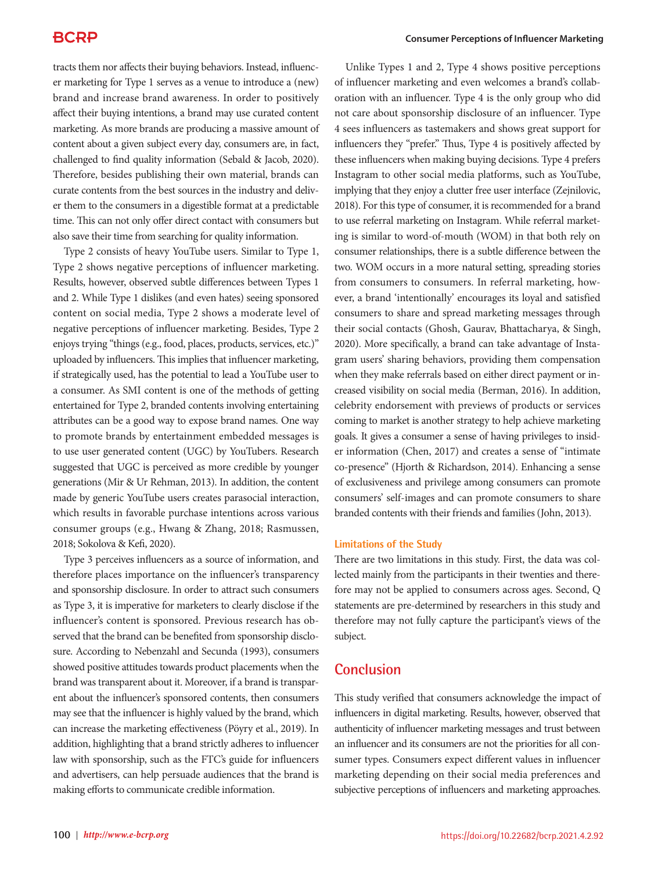tracts them nor affects their buying behaviors. Instead, influencer marketing for Type 1 serves as a venue to introduce a (new) brand and increase brand awareness. In order to positively affect their buying intentions, a brand may use curated content marketing. As more brands are producing a massive amount of content about a given subject every day, consumers are, in fact, challenged to find quality information (Sebald & Jacob, 2020). Therefore, besides publishing their own material, brands can curate contents from the best sources in the industry and deliver them to the consumers in a digestible format at a predictable time. This can not only offer direct contact with consumers but also save their time from searching for quality information.

Type 2 consists of heavy YouTube users. Similar to Type 1, Type 2 shows negative perceptions of influencer marketing. Results, however, observed subtle differences between Types 1 and 2. While Type 1 dislikes (and even hates) seeing sponsored content on social media, Type 2 shows a moderate level of negative perceptions of influencer marketing. Besides, Type 2 enjoys trying "things (e.g., food, places, products, services, etc.)" uploaded by influencers. This implies that influencer marketing, if strategically used, has the potential to lead a YouTube user to a consumer. As SMI content is one of the methods of getting entertained for Type 2, branded contents involving entertaining attributes can be a good way to expose brand names. One way to promote brands by entertainment embedded messages is to use user generated content (UGC) by YouTubers. Research suggested that UGC is perceived as more credible by younger generations (Mir & Ur Rehman, 2013). In addition, the content made by generic YouTube users creates parasocial interaction, which results in favorable purchase intentions across various consumer groups (e.g., Hwang & Zhang, 2018; Rasmussen, 2018; Sokolova & Kefi, 2020).

Type 3 perceives influencers as a source of information, and therefore places importance on the influencer's transparency and sponsorship disclosure. In order to attract such consumers as Type 3, it is imperative for marketers to clearly disclose if the influencer's content is sponsored. Previous research has observed that the brand can be benefited from sponsorship disclosure. According to Nebenzahl and Secunda (1993), consumers showed positive attitudes towards product placements when the brand was transparent about it. Moreover, if a brand is transparent about the influencer's sponsored contents, then consumers may see that the influencer is highly valued by the brand, which can increase the marketing effectiveness (Pöyry et al., 2019). In addition, highlighting that a brand strictly adheres to influencer law with sponsorship, such as the FTC's guide for influencers and advertisers, can help persuade audiences that the brand is making efforts to communicate credible information.

Unlike Types 1 and 2, Type 4 shows positive perceptions of influencer marketing and even welcomes a brand's collaboration with an influencer. Type 4 is the only group who did not care about sponsorship disclosure of an influencer. Type 4 sees influencers as tastemakers and shows great support for influencers they "prefer." Thus, Type 4 is positively affected by these influencers when making buying decisions. Type 4 prefers Instagram to other social media platforms, such as YouTube, implying that they enjoy a clutter free user interface (Zejnilovic, 2018). For this type of consumer, it is recommended for a brand to use referral marketing on Instagram. While referral marketing is similar to word-of-mouth (WOM) in that both rely on consumer relationships, there is a subtle difference between the two. WOM occurs in a more natural setting, spreading stories from consumers to consumers. In referral marketing, however, a brand 'intentionally' encourages its loyal and satisfied consumers to share and spread marketing messages through their social contacts (Ghosh, Gaurav, Bhattacharya, & Singh, 2020). More specifically, a brand can take advantage of Instagram users' sharing behaviors, providing them compensation when they make referrals based on either direct payment or increased visibility on social media (Berman, 2016). In addition, celebrity endorsement with previews of products or services coming to market is another strategy to help achieve marketing goals. It gives a consumer a sense of having privileges to insider information (Chen, 2017) and creates a sense of "intimate co-presence" (Hjorth & Richardson, 2014). Enhancing a sense of exclusiveness and privilege among consumers can promote consumers' self-images and can promote consumers to share branded contents with their friends and families (John, 2013).

#### **Limitations of the Study**

There are two limitations in this study. First, the data was collected mainly from the participants in their twenties and therefore may not be applied to consumers across ages. Second, Q statements are pre-determined by researchers in this study and therefore may not fully capture the participant's views of the subject.

### **Conclusion**

This study verified that consumers acknowledge the impact of influencers in digital marketing. Results, however, observed that authenticity of influencer marketing messages and trust between an influencer and its consumers are not the priorities for all consumer types. Consumers expect different values in influencer marketing depending on their social media preferences and subjective perceptions of influencers and marketing approaches.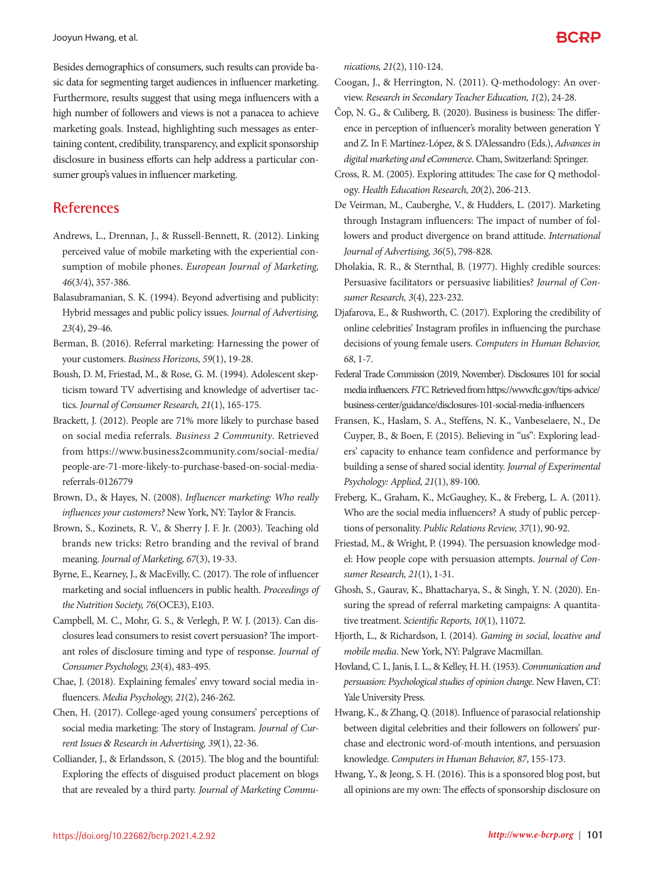Jooyun Hwang, et al.

Besides demographics of consumers, such results can provide basic data for segmenting target audiences in influencer marketing. Furthermore, results suggest that using mega influencers with a high number of followers and views is not a panacea to achieve marketing goals. Instead, highlighting such messages as entertaining content, credibility, transparency, and explicit sponsorship disclosure in business efforts can help address a particular consumer group's values in influencer marketing.

# **References**

- Andrews, L., Drennan, J., & Russell‐Bennett, R. (2012). Linking perceived value of mobile marketing with the experiential consumption of mobile phones. *European Journal of Marketing, 46*(3/4), 357-386.
- Balasubramanian, S. K. (1994). Beyond advertising and publicity: Hybrid messages and public policy issues. *Journal of Advertising, 23*(4), 29-46.
- Berman, B. (2016). Referral marketing: Harnessing the power of your customers. *Business Horizons, 59*(1), 19-28.
- Boush, D. M, Friestad, M., & Rose, G. M. (1994). Adolescent skepticism toward TV advertising and knowledge of advertiser tactics. *Journal of Consumer Research, 21*(1), 165-175.
- Brackett, J. (2012). People are 71% more likely to purchase based on social media referrals. *Business 2 Community*. Retrieved from https://www.business2community.com/social-media/ people-are-71-more-likely-to-purchase-based-on-social-mediareferrals-0126779
- Brown, D., & Hayes, N. (2008). *Influencer marketing: Who really influences your customers?* New York, NY: Taylor & Francis.
- Brown, S., Kozinets, R. V., & Sherry J. F. Jr. (2003). Teaching old brands new tricks: Retro branding and the revival of brand meaning. *Journal of Marketing, 67*(3), 19-33.
- Byrne, E., Kearney, J., & MacEvilly, C. (2017). The role of influencer marketing and social influencers in public health. *Proceedings of the Nutrition Society, 76*(OCE3), E103.
- Campbell, M. C., Mohr, G. S., & Verlegh, P. W. J. (2013). Can disclosures lead consumers to resist covert persuasion? The important roles of disclosure timing and type of response. *Journal of Consumer Psychology, 23*(4), 483-495.
- Chae, J. (2018). Explaining females' envy toward social media influencers. *Media Psychology, 21*(2), 246-262.
- Chen, H. (2017). College-aged young consumers' perceptions of social media marketing: The story of Instagram. *Journal of Current Issues* & *Research in Advertising, 39*(1), 22-36.
- Colliander, J., & Erlandsson, S. (2015). The blog and the bountiful: Exploring the effects of disguised product placement on blogs that are revealed by a third party. *Journal of Marketing Commu-*

*nications, 21*(2), 110-124.

- Coogan, J., & Herrington, N. (2011). Q-methodology: An overview. *Research in Secondary Teacher Education, 1*(2), 24-28.
- Čop, N. G., & Culiberg, B. (2020). Business is business: The difference in perception of influencer's morality between generation Y and Z. In F. Martínez-López, & S. D'Alessandro (Eds.), *Advances in digital marketing and eCommerce*. Cham, Switzerland: Springer.
- Cross, R. M. (2005). Exploring attitudes: The case for Q methodology. *Health Education Research, 20*(2), 206-213.
- De Veirman, M., Cauberghe, V., & Hudders, L. (2017). Marketing through Instagram influencers: The impact of number of followers and product divergence on brand attitude. *International Journal of Advertising, 36*(5), 798-828.
- Dholakia, R. R., & Sternthal, B. (1977). Highly credible sources: Persuasive facilitators or persuasive liabilities? *Journal of Consumer Research, 3*(4), 223-232.
- Djafarova, E., & Rushworth, C. (2017). Exploring the credibility of online celebrities' Instagram profiles in influencing the purchase decisions of young female users. *Computers in Human Behavior, 68*, 1-7.
- Federal Trade Commission (2019, November). Disclosures 101 for social media influencers. *FTC*. Retrieved from https://www.ftc.gov/tips-advice/ business-center/guidance/disclosures-101-social-media-influencers
- Fransen, K., Haslam, S. A., Steffens, N. K., Vanbeselaere, N., De Cuyper, B., & Boen, F. (2015). Believing in "us": Exploring leaders' capacity to enhance team confidence and performance by building a sense of shared social identity. *Journal of Experimental Psychology: Applied, 21*(1), 89-100.
- Freberg, K., Graham, K., McGaughey, K., & Freberg, L. A. (2011). Who are the social media influencers? A study of public perceptions of personality. *Public Relations Review, 37*(1), 90-92.
- Friestad, M., & Wright, P. (1994). The persuasion knowledge model: How people cope with persuasion attempts. *Journal of Consumer Research, 21*(1), 1-31.
- Ghosh, S., Gaurav, K., Bhattacharya, S., & Singh, Y. N. (2020). Ensuring the spread of referral marketing campaigns: A quantitative treatment. *Scientific Reports, 10*(1), 11072.
- Hjorth, L., & Richardson, I. (2014). *Gaming in social, locative and mobile media*. New York, NY: Palgrave Macmillan.
- Hovland, C. I., Janis, I. L., & Kelley, H. H. (1953). *Communication and persuasion: Psychological studies of opinion change*. New Haven, CT: Yale University Press.
- Hwang, K., & Zhang, Q. (2018). Influence of parasocial relationship between digital celebrities and their followers on followers' purchase and electronic word-of-mouth intentions, and persuasion knowledge. *Computers in Human Behavior, 87*, 155-173.
- Hwang, Y., & Jeong, S. H. (2016). This is a sponsored blog post, but all opinions are my own: The effects of sponsorship disclosure on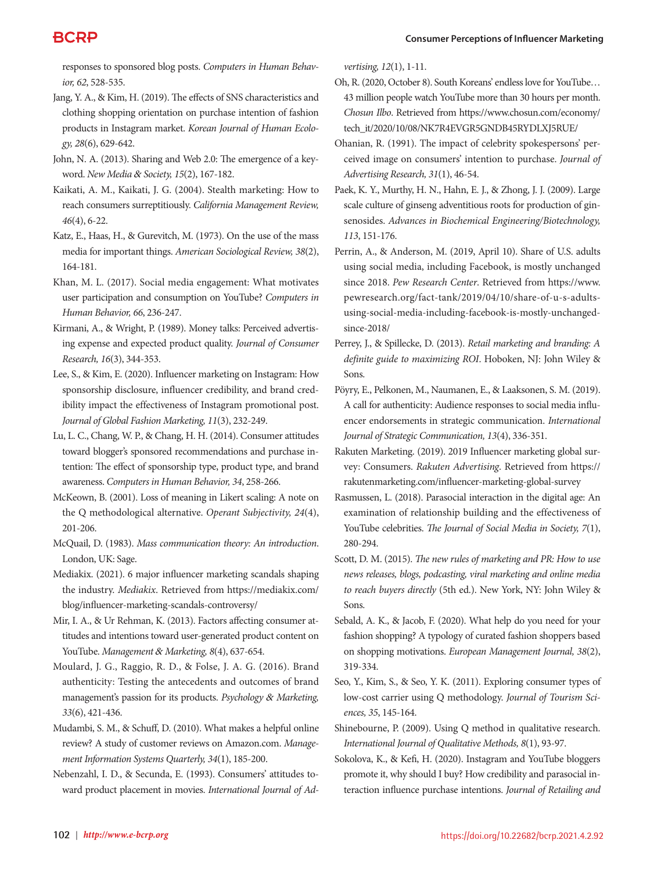responses to sponsored blog posts. *Computers in Human Behavior, 62*, 528-535.

Jang, Y. A., & Kim, H. (2019). The effects of SNS characteristics and clothing shopping orientation on purchase intention of fashion products in Instagram market. *Korean Journal of Human Ecology, 28*(6), 629-642.

John, N. A. (2013). Sharing and Web 2.0: The emergence of a keyword. *New Media* & *Society, 15*(2), 167-182.

Kaikati, A. M., Kaikati, J. G. (2004). Stealth marketing: How to reach consumers surreptitiously. *California Management Review, 46*(4), 6-22.

Katz, E., Haas, H., & Gurevitch, M. (1973). On the use of the mass media for important things. *American Sociological Review, 38*(2), 164-181.

Khan, M. L. (2017). Social media engagement: What motivates user participation and consumption on YouTube? *Computers in Human Behavior, 66*, 236-247.

Kirmani, A., & Wright, P. (1989). Money talks: Perceived advertising expense and expected product quality. *Journal of Consumer Research, 16*(3), 344-353.

Lee, S., & Kim, E. (2020). Influencer marketing on Instagram: How sponsorship disclosure, influencer credibility, and brand credibility impact the effectiveness of Instagram promotional post. *Journal of Global Fashion Marketing, 11*(3), 232-249.

Lu, L. C., Chang, W. P., & Chang, H. H. (2014). Consumer attitudes toward blogger's sponsored recommendations and purchase intention: The effect of sponsorship type, product type, and brand awareness. *Computers in Human Behavior, 34*, 258-266.

McKeown, B. (2001). Loss of meaning in Likert scaling: A note on the Q methodological alternative. *Operant Subjectivity, 24*(4), 201-206.

McQuail, D. (1983). *Mass communication theory: An introduction*. London, UK: Sage.

Mediakix. (2021). 6 major influencer marketing scandals shaping the industry. *Mediakix*. Retrieved from https://mediakix.com/ blog/influencer-marketing-scandals-controversy/

Mir, I. A., & Ur Rehman, K. (2013). Factors affecting consumer attitudes and intentions toward user-generated product content on YouTube. *Management* & *Marketing, 8*(4), 637-654.

Moulard, J. G., Raggio, R. D., & Folse, J. A. G. (2016). Brand authenticity: Testing the antecedents and outcomes of brand management's passion for its products. *Psychology* & *Marketing, 33*(6), 421-436.

Mudambi, S. M., & Schuff, D. (2010). What makes a helpful online review? A study of customer reviews on Amazon.com. *Management Information Systems Quarterly, 34*(1), 185-200.

Nebenzahl, I. D., & Secunda, E. (1993). Consumers' attitudes toward product placement in movies. *International Journal of Ad-* *vertising, 12*(1), 1-11.

Oh, R. (2020, October 8). South Koreans' endless love for YouTube… 43 million people watch YouTube more than 30 hours per month. *Chosun Ilbo*. Retrieved from https://www.chosun.com/economy/ tech\_it/2020/10/08/NK7R4EVGR5GNDB45RYDLXJ5RUE/

Ohanian, R. (1991). The impact of celebrity spokespersons' perceived image on consumers' intention to purchase. *Journal of Advertising Research, 31*(1), 46-54.

Paek, K. Y., Murthy, H. N., Hahn, E. J., & Zhong, J. J. (2009). Large scale culture of ginseng adventitious roots for production of ginsenosides. *Advances in Biochemical Engineering/Biotechnology, 113*, 151-176.

Perrin, A., & Anderson, M. (2019, April 10). Share of U.S. adults using social media, including Facebook, is mostly unchanged since 2018. *Pew Research Center*. Retrieved from https://www. pewresearch.org/fact-tank/2019/04/10/share-of-u-s-adultsusing-social-media-including-facebook-is-mostly-unchangedsince-2018/

Perrey, J., & Spillecke, D. (2013). *Retail marketing and branding: A definite guide to maximizing ROI*. Hoboken, NJ: John Wiley & Sons.

Pöyry, E., Pelkonen, M., Naumanen, E., & Laaksonen, S. M. (2019). A call for authenticity: Audience responses to social media influencer endorsements in strategic communication. *International Journal of Strategic Communication, 13*(4), 336-351.

Rakuten Marketing. (2019). 2019 Influencer marketing global survey: Consumers. *Rakuten Advertising*. Retrieved from https:// rakutenmarketing.com/influencer-marketing-global-survey

Rasmussen, L. (2018). Parasocial interaction in the digital age: An examination of relationship building and the effectiveness of YouTube celebrities. *The Journal of Social Media in Society, 7*(1), 280-294.

Scott, D. M. (2015). *The new rules of marketing and PR: How to use news releases, blogs, podcasting, viral marketing and online media to reach buyers directly* (5th ed.). New York, NY: John Wiley & Sons.

Sebald, A. K., & Jacob, F. (2020). What help do you need for your fashion shopping? A typology of curated fashion shoppers based on shopping motivations. *European Management Journal, 38*(2), 319-334.

Seo, Y., Kim, S., & Seo, Y. K. (2011). Exploring consumer types of low-cost carrier using Q methodology. *Journal of Tourism Sciences, 35*, 145-164.

Shinebourne, P. (2009). Using Q method in qualitative research. *International Journal of Qualitative Methods, 8*(1), 93-97.

Sokolova, K., & Kefi, H. (2020). Instagram and YouTube bloggers promote it, why should I buy? How credibility and parasocial interaction influence purchase intentions. *Journal of Retailing and*